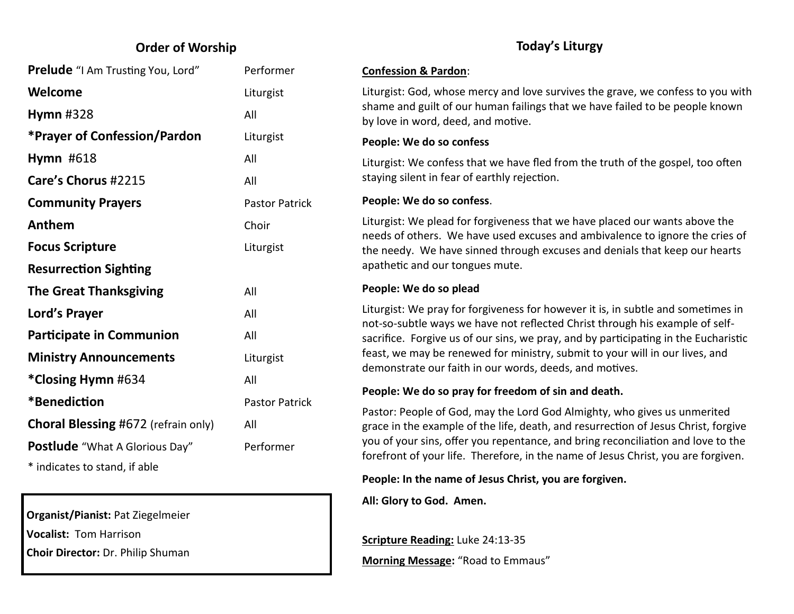## **Order of Worship**

| <b>Prelude</b> "I Am Trusting You, Lord"   | Performer             |
|--------------------------------------------|-----------------------|
| Welcome                                    | Liturgist             |
| Hymn $#328$                                | All                   |
| <b>*Prayer of Confession/Pardon</b>        | Liturgist             |
| <b>Hymn #618</b>                           | All                   |
| Care's Chorus #2215                        | All                   |
| <b>Community Prayers</b>                   | <b>Pastor Patrick</b> |
| Anthem                                     | Choir                 |
| <b>Focus Scripture</b>                     | Liturgist             |
| <b>Resurrection Sighting</b>               |                       |
| <b>The Great Thanksgiving</b>              | All                   |
| Lord's Prayer                              | All                   |
| <b>Participate in Communion</b>            | All                   |
| <b>Ministry Announcements</b>              | Liturgist             |
| *Closing Hymn #634                         | All                   |
| *Benediction                               | <b>Pastor Patrick</b> |
| <b>Choral Blessing #672 (refrain only)</b> | All                   |
| Postlude "What A Glorious Day"             | Performer             |
| * indicates to stand, if able              |                       |

**Organist/Pianist:** Pat Ziegelmeier **Vocalist:** Tom Harrison

**Choir Director:** Dr. Philip Shuman

## **Today's Liturgy**

#### **Confession & Pardon**:

Liturgist: God, whose mercy and love survives the grave, we confess to you with shame and guilt of our human failings that we have failed to be people known by love in word, deed, and motive.

#### **People: We do so confess**

Liturgist: We confess that we have fled from the truth of the gospel, too often staying silent in fear of earthly rejection.

#### **People: We do so confess**.

Liturgist: We plead for forgiveness that we have placed our wants above the needs of others. We have used excuses and ambivalence to ignore the cries of the needy. We have sinned through excuses and denials that keep our hearts apathetic and our tongues mute.

#### **People: We do so plead**

Liturgist: We pray for forgiveness for however it is, in subtle and sometimes in not-so-subtle ways we have not reflected Christ through his example of selfsacrifice. Forgive us of our sins, we pray, and by participating in the Eucharistic feast, we may be renewed for ministry, submit to your will in our lives, and demonstrate our faith in our words, deeds, and motives.

#### **People: We do so pray for freedom of sin and death.**

Pastor: People of God, may the Lord God Almighty, who gives us unmerited grace in the example of the life, death, and resurrection of Jesus Christ, forgive you of your sins, offer you repentance, and bring reconciliation and love to the forefront of your life. Therefore, in the name of Jesus Christ, you are forgiven.

### **People: In the name of Jesus Christ, you are forgiven.**

**All: Glory to God. Amen.**

**Scripture Reading:** Luke 24:13-35 **Morning Message:** "Road to Emmaus"